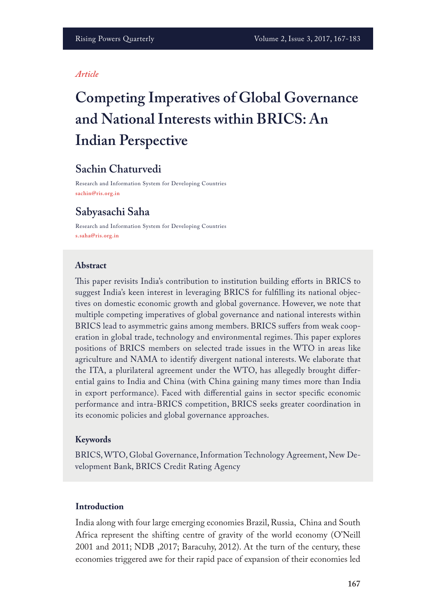#### *Article*

# **Competing Imperatives of Global Governance and National Interests within BRICS: An Indian Perspective**

# **Sachin Chaturvedi**

Research and Information System for Developing Countries **sachin@ris.org.in**

## **Sabyasachi Saha**

Research and Information System for Developing Countries **s.saha@ris.org.in**

#### **Abstract**

This paper revisits India's contribution to institution building efforts in BRICS to suggest India's keen interest in leveraging BRICS for fulflling its national objectives on domestic economic growth and global governance. However, we note that multiple competing imperatives of global governance and national interests within BRICS lead to asymmetric gains among members. BRICS sufers from weak cooperation in global trade, technology and environmental regimes. This paper explores positions of BRICS members on selected trade issues in the WTO in areas like agriculture and NAMA to identify divergent national interests. We elaborate that the ITA, a plurilateral agreement under the WTO, has allegedly brought diferential gains to India and China (with China gaining many times more than India in export performance). Faced with diferential gains in sector specifc economic performance and intra-BRICS competition, BRICS seeks greater coordination in its economic policies and global governance approaches.

#### **Keywords**

BRICS, WTO, Global Governance, Information Technology Agreement, New Development Bank, BRICS Credit Rating Agency

#### **Introduction**

India along with four large emerging economies Brazil, Russia, China and South Africa represent the shifting centre of gravity of the world economy (O'Neill 2001 and 2011; NDB ,2017; Baracuhy, 2012). At the turn of the century, these economies triggered awe for their rapid pace of expansion of their economies led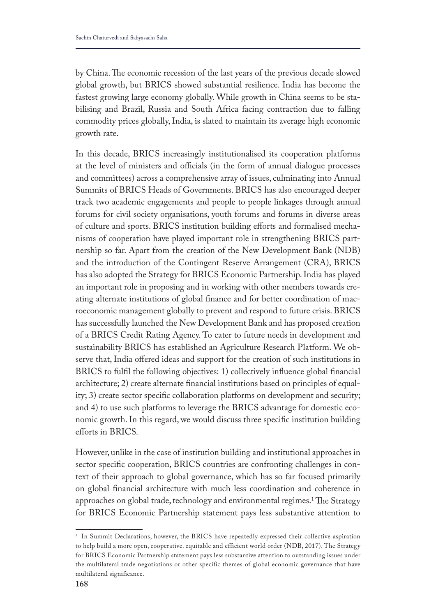by China. The economic recession of the last years of the previous decade slowed global growth, but BRICS showed substantial resilience. India has become the fastest growing large economy globally. While growth in China seems to be stabilising and Brazil, Russia and South Africa facing contraction due to falling commodity prices globally, India, is slated to maintain its average high economic growth rate.

In this decade, BRICS increasingly institutionalised its cooperation platforms at the level of ministers and officials (in the form of annual dialogue processes and committees) across a comprehensive array of issues, culminating into Annual Summits of BRICS Heads of Governments. BRICS has also encouraged deeper track two academic engagements and people to people linkages through annual forums for civil society organisations, youth forums and forums in diverse areas of culture and sports. BRICS institution building eforts and formalised mechanisms of cooperation have played important role in strengthening BRICS partnership so far. Apart from the creation of the New Development Bank (NDB) and the introduction of the Contingent Reserve Arrangement (CRA), BRICS has also adopted the Strategy for BRICS Economic Partnership. India has played an important role in proposing and in working with other members towards creating alternate institutions of global fnance and for better coordination of macroeconomic management globally to prevent and respond to future crisis. BRICS has successfully launched the New Development Bank and has proposed creation of a BRICS Credit Rating Agency. To cater to future needs in development and sustainability BRICS has established an Agriculture Research Platform. We observe that, India offered ideas and support for the creation of such institutions in BRICS to fulfl the following objectives: 1) collectively infuence global fnancial architecture; 2) create alternate fnancial institutions based on principles of equality; 3) create sector specifc collaboration platforms on development and security; and 4) to use such platforms to leverage the BRICS advantage for domestic economic growth. In this regard, we would discuss three specifc institution building eforts in BRICS.

However, unlike in the case of institution building and institutional approaches in sector specifc cooperation, BRICS countries are confronting challenges in context of their approach to global governance, which has so far focused primarily on global fnancial architecture with much less coordination and coherence in approaches on global trade, technology and environmental regimes.<sup>1</sup>The Strategy for BRICS Economic Partnership statement pays less substantive attention to

<sup>&</sup>lt;sup>1</sup> In Summit Declarations, however, the BRICS have repeatedly expressed their collective aspiration to help build a more open, cooperative. equitable and efficient world order (NDB, 2017). The Strategy for BRICS Economic Partnership statement pays less substantive attention to outstanding issues under the multilateral trade negotiations or other specific themes of global economic governance that have multilateral significance.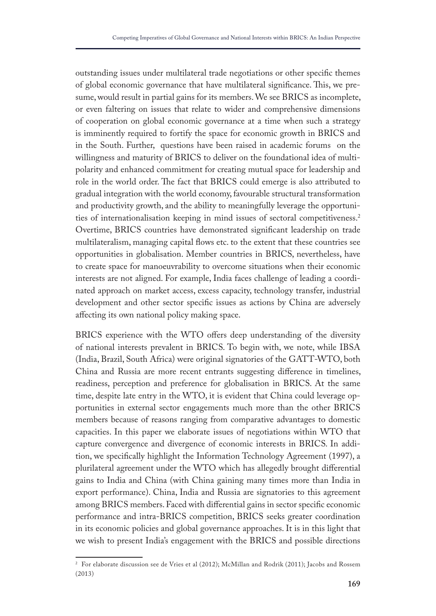outstanding issues under multilateral trade negotiations or other specifc themes of global economic governance that have multilateral significance. This, we presume, would result in partial gains for its members. We see BRICS as incomplete, or even faltering on issues that relate to wider and comprehensive dimensions of cooperation on global economic governance at a time when such a strategy is imminently required to fortify the space for economic growth in BRICS and in the South. Further, questions have been raised in academic forums on the willingness and maturity of BRICS to deliver on the foundational idea of multipolarity and enhanced commitment for creating mutual space for leadership and role in the world order. The fact that BRICS could emerge is also attributed to gradual integration with the world economy, favourable structural transformation and productivity growth, and the ability to meaningfully leverage the opportunities of internationalisation keeping in mind issues of sectoral competitiveness.2 Overtime, BRICS countries have demonstrated signifcant leadership on trade multilateralism, managing capital fows etc. to the extent that these countries see opportunities in globalisation. Member countries in BRICS, nevertheless, have to create space for manoeuvrability to overcome situations when their economic interests are not aligned. For example, India faces challenge of leading a coordinated approach on market access, excess capacity, technology transfer, industrial development and other sector specifc issues as actions by China are adversely afecting its own national policy making space.

BRICS experience with the WTO offers deep understanding of the diversity of national interests prevalent in BRICS. To begin with, we note, while IBSA (India, Brazil, South Africa) were original signatories of the GATT-WTO, both China and Russia are more recent entrants suggesting diference in timelines, readiness, perception and preference for globalisation in BRICS. At the same time, despite late entry in the WTO, it is evident that China could leverage opportunities in external sector engagements much more than the other BRICS members because of reasons ranging from comparative advantages to domestic capacities. In this paper we elaborate issues of negotiations within WTO that capture convergence and divergence of economic interests in BRICS. In addition, we specifcally highlight the Information Technology Agreement (1997), a plurilateral agreement under the WTO which has allegedly brought diferential gains to India and China (with China gaining many times more than India in export performance). China, India and Russia are signatories to this agreement among BRICS members. Faced with diferential gains in sector specifc economic performance and intra-BRICS competition, BRICS seeks greater coordination in its economic policies and global governance approaches. It is in this light that we wish to present India's engagement with the BRICS and possible directions

<sup>&</sup>lt;sup>2</sup> For elaborate discussion see de Vries et al (2012); McMillan and Rodrik (2011); Jacobs and Rossem (2013)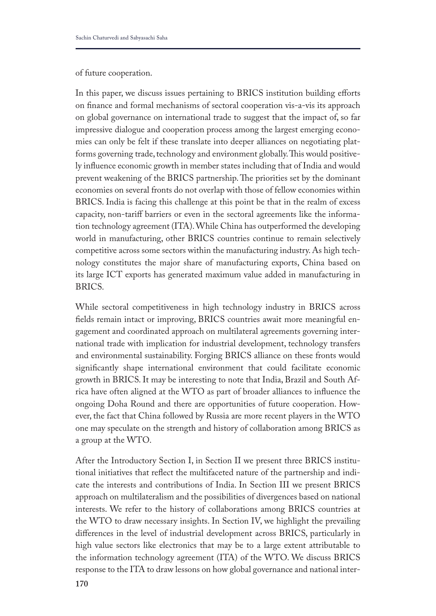#### of future cooperation.

In this paper, we discuss issues pertaining to BRICS institution building efforts on fnance and formal mechanisms of sectoral cooperation vis-a-vis its approach on global governance on international trade to suggest that the impact of, so far impressive dialogue and cooperation process among the largest emerging economies can only be felt if these translate into deeper alliances on negotiating platforms governing trade, technology and environment globally. This would positively infuence economic growth in member states including that of India and would prevent weakening of the BRICS partnership. The priorities set by the dominant economies on several fronts do not overlap with those of fellow economies within BRICS. India is facing this challenge at this point be that in the realm of excess capacity, non-tarif barriers or even in the sectoral agreements like the information technology agreement (ITA). While China has outperformed the developing world in manufacturing, other BRICS countries continue to remain selectively competitive across some sectors within the manufacturing industry. As high technology constitutes the major share of manufacturing exports, China based on its large ICT exports has generated maximum value added in manufacturing in BRICS.

While sectoral competitiveness in high technology industry in BRICS across felds remain intact or improving, BRICS countries await more meaningful engagement and coordinated approach on multilateral agreements governing international trade with implication for industrial development, technology transfers and environmental sustainability. Forging BRICS alliance on these fronts would signifcantly shape international environment that could facilitate economic growth in BRICS. It may be interesting to note that India, Brazil and South Africa have often aligned at the WTO as part of broader alliances to infuence the ongoing Doha Round and there are opportunities of future cooperation. However, the fact that China followed by Russia are more recent players in the WTO one may speculate on the strength and history of collaboration among BRICS as a group at the WTO.

After the Introductory Section I, in Section II we present three BRICS institutional initiatives that refect the multifaceted nature of the partnership and indicate the interests and contributions of India. In Section III we present BRICS approach on multilateralism and the possibilities of divergences based on national interests. We refer to the history of collaborations among BRICS countries at the WTO to draw necessary insights. In Section IV, we highlight the prevailing diferences in the level of industrial development across BRICS, particularly in high value sectors like electronics that may be to a large extent attributable to the information technology agreement (ITA) of the WTO. We discuss BRICS response to the ITA to draw lessons on how global governance and national inter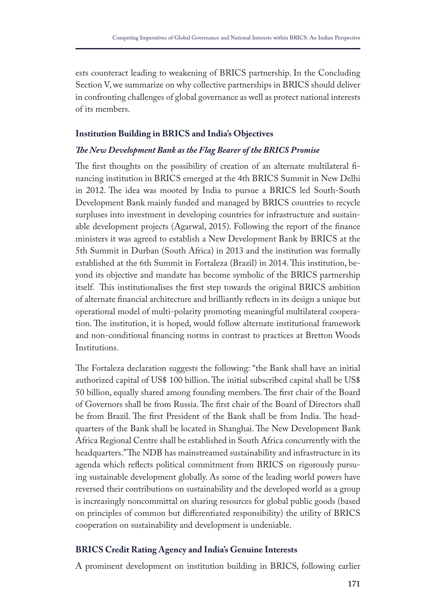ests counteract leading to weakening of BRICS partnership. In the Concluding Section V, we summarize on why collective partnerships in BRICS should deliver in confronting challenges of global governance as well as protect national interests of its members.

#### **Institution Building in BRICS and India's Objectives**

#### *Te New Development Bank as the Flag Bearer of the BRICS Promise*

The first thoughts on the possibility of creation of an alternate multilateral financing institution in BRICS emerged at the 4th BRICS Summit in New Delhi in 2012. The idea was mooted by India to pursue a BRICS led South-South Development Bank mainly funded and managed by BRICS countries to recycle surpluses into investment in developing countries for infrastructure and sustainable development projects (Agarwal, 2015). Following the report of the fnance ministers it was agreed to establish a New Development Bank by BRICS at the 5th Summit in Durban (South Africa) in 2013 and the institution was formally established at the 6th Summit in Fortaleza (Brazil) in 2014. This institution, beyond its objective and mandate has become symbolic of the BRICS partnership itself. This institutionalises the first step towards the original BRICS ambition of alternate fnancial architecture and brilliantly refects in its design a unique but operational model of multi-polarity promoting meaningful multilateral cooperation. The institution, it is hoped, would follow alternate institutional framework and non-conditional fnancing norms in contrast to practices at Bretton Woods Institutions.

The Fortaleza declaration suggests the following: "the Bank shall have an initial authorized capital of US\$ 100 billion. The initial subscribed capital shall be US\$ 50 billion, equally shared among founding members. The first chair of the Board of Governors shall be from Russia. The first chair of the Board of Directors shall be from Brazil. The first President of the Bank shall be from India. The headquarters of the Bank shall be located in Shanghai. The New Development Bank Africa Regional Centre shall be established in South Africa concurrently with the headquarters." The NDB has mainstreamed sustainability and infrastructure in its agenda which refects political commitment from BRICS on rigorously pursuing sustainable development globally. As some of the leading world powers have reversed their contributions on sustainability and the developed world as a group is increasingly noncommittal on sharing resources for global public goods (based on principles of common but diferentiated responsibility) the utility of BRICS cooperation on sustainability and development is undeniable.

## **BRICS Credit Rating Agency and India's Genuine Interests**

A prominent development on institution building in BRICS, following earlier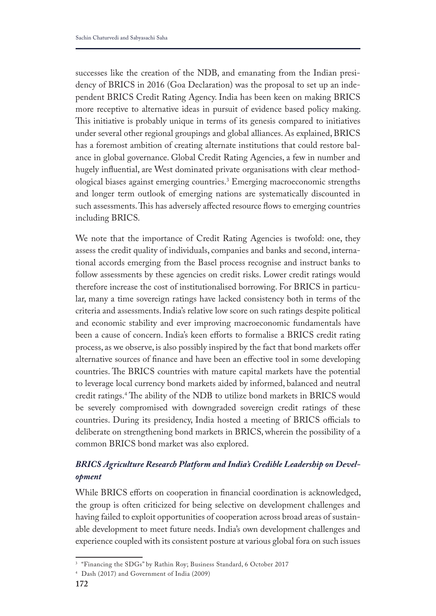successes like the creation of the NDB, and emanating from the Indian presidency of BRICS in 2016 (Goa Declaration) was the proposal to set up an independent BRICS Credit Rating Agency. India has been keen on making BRICS more receptive to alternative ideas in pursuit of evidence based policy making. This initiative is probably unique in terms of its genesis compared to initiatives under several other regional groupings and global alliances. As explained, BRICS has a foremost ambition of creating alternate institutions that could restore balance in global governance. Global Credit Rating Agencies, a few in number and hugely infuential, are West dominated private organisations with clear methodological biases against emerging countries.3 Emerging macroeconomic strengths and longer term outlook of emerging nations are systematically discounted in such assessments. This has adversely affected resource flows to emerging countries including BRICS.

We note that the importance of Credit Rating Agencies is twofold: one, they assess the credit quality of individuals, companies and banks and second, international accords emerging from the Basel process recognise and instruct banks to follow assessments by these agencies on credit risks. Lower credit ratings would therefore increase the cost of institutionalised borrowing. For BRICS in particular, many a time sovereign ratings have lacked consistency both in terms of the criteria and assessments. India's relative low score on such ratings despite political and economic stability and ever improving macroeconomic fundamentals have been a cause of concern. India's keen efforts to formalise a BRICS credit rating process, as we observe, is also possibly inspired by the fact that bond markets ofer alternative sources of fnance and have been an efective tool in some developing countries. The BRICS countries with mature capital markets have the potential to leverage local currency bond markets aided by informed, balanced and neutral credit ratings.<sup>4</sup> The ability of the NDB to utilize bond markets in BRICS would be severely compromised with downgraded sovereign credit ratings of these countries. During its presidency, India hosted a meeting of BRICS officials to deliberate on strengthening bond markets in BRICS, wherein the possibility of a common BRICS bond market was also explored.

# *BRICS Agriculture Research Platform and India's Credible Leadership on Development*

While BRICS efforts on cooperation in financial coordination is acknowledged, the group is often criticized for being selective on development challenges and having failed to exploit opportunities of cooperation across broad areas of sustainable development to meet future needs. India's own development challenges and experience coupled with its consistent posture at various global fora on such issues

<sup>&</sup>lt;sup>3</sup> "Financing the SDGs" by Rathin Roy; Business Standard, 6 October 2017

<sup>4</sup> Dash (2017) and Government of India (2009)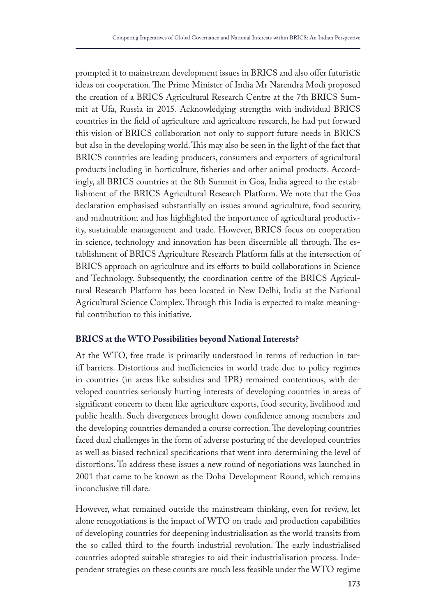prompted it to mainstream development issues in BRICS and also offer futuristic ideas on cooperation. The Prime Minister of India Mr Narendra Modi proposed the creation of a BRICS Agricultural Research Centre at the 7th BRICS Summit at Ufa, Russia in 2015. Acknowledging strengths with individual BRICS countries in the feld of agriculture and agriculture research, he had put forward this vision of BRICS collaboration not only to support future needs in BRICS but also in the developing world. This may also be seen in the light of the fact that BRICS countries are leading producers, consumers and exporters of agricultural products including in horticulture, fsheries and other animal products. Accordingly, all BRICS countries at the 8th Summit in Goa, India agreed to the establishment of the BRICS Agricultural Research Platform. We note that the Goa declaration emphasised substantially on issues around agriculture, food security, and malnutrition; and has highlighted the importance of agricultural productivity, sustainable management and trade. However, BRICS focus on cooperation in science, technology and innovation has been discernible all through. The establishment of BRICS Agriculture Research Platform falls at the intersection of BRICS approach on agriculture and its efforts to build collaborations in Science and Technology. Subsequently, the coordination centre of the BRICS Agricultural Research Platform has been located in New Delhi, India at the National Agricultural Science Complex. Through this India is expected to make meaningful contribution to this initiative.

## **BRICS at the WTO Possibilities beyond National Interests?**

At the WTO, free trade is primarily understood in terms of reduction in tariff barriers. Distortions and inefficiencies in world trade due to policy regimes in countries (in areas like subsidies and IPR) remained contentious, with developed countries seriously hurting interests of developing countries in areas of signifcant concern to them like agriculture exports, food security, livelihood and public health. Such divergences brought down confdence among members and the developing countries demanded a course correction. The developing countries faced dual challenges in the form of adverse posturing of the developed countries as well as biased technical specifcations that went into determining the level of distortions. To address these issues a new round of negotiations was launched in 2001 that came to be known as the Doha Development Round, which remains inconclusive till date.

However, what remained outside the mainstream thinking, even for review, let alone renegotiations is the impact of WTO on trade and production capabilities of developing countries for deepening industrialisation as the world transits from the so called third to the fourth industrial revolution. The early industrialised countries adopted suitable strategies to aid their industrialisation process. Independent strategies on these counts are much less feasible under the WTO regime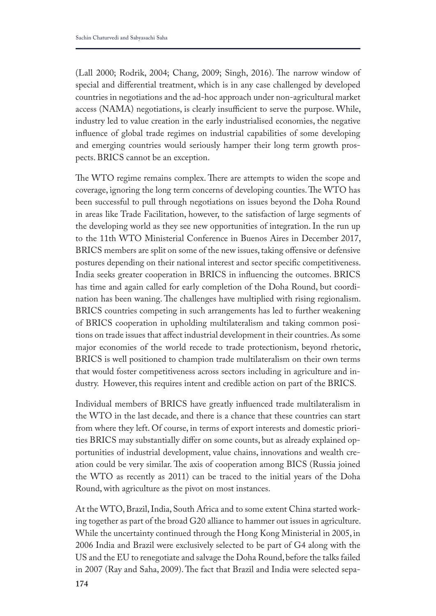(Lall 2000; Rodrik, 2004; Chang, 2009; Singh, 2016). The narrow window of special and diferential treatment, which is in any case challenged by developed countries in negotiations and the ad-hoc approach under non-agricultural market access (NAMA) negotiations, is clearly insufficient to serve the purpose. While, industry led to value creation in the early industrialised economies, the negative infuence of global trade regimes on industrial capabilities of some developing and emerging countries would seriously hamper their long term growth prospects. BRICS cannot be an exception.

The WTO regime remains complex. There are attempts to widen the scope and coverage, ignoring the long term concerns of developing counties. The WTO has been successful to pull through negotiations on issues beyond the Doha Round in areas like Trade Facilitation, however, to the satisfaction of large segments of the developing world as they see new opportunities of integration. In the run up to the 11th WTO Ministerial Conference in Buenos Aires in December 2017, BRICS members are split on some of the new issues, taking offensive or defensive postures depending on their national interest and sector specifc competitiveness. India seeks greater cooperation in BRICS in infuencing the outcomes. BRICS has time and again called for early completion of the Doha Round, but coordination has been waning. The challenges have multiplied with rising regionalism. BRICS countries competing in such arrangements has led to further weakening of BRICS cooperation in upholding multilateralism and taking common positions on trade issues that afect industrial development in their countries. As some major economies of the world recede to trade protectionism, beyond rhetoric, BRICS is well positioned to champion trade multilateralism on their own terms that would foster competitiveness across sectors including in agriculture and industry. However, this requires intent and credible action on part of the BRICS.

Individual members of BRICS have greatly infuenced trade multilateralism in the WTO in the last decade, and there is a chance that these countries can start from where they left. Of course, in terms of export interests and domestic priorities BRICS may substantially difer on some counts, but as already explained opportunities of industrial development, value chains, innovations and wealth creation could be very similar. The axis of cooperation among BICS (Russia joined the WTO as recently as 2011) can be traced to the initial years of the Doha Round, with agriculture as the pivot on most instances.

At the WTO, Brazil, India, South Africa and to some extent China started working together as part of the broad G20 alliance to hammer out issues in agriculture. While the uncertainty continued through the Hong Kong Ministerial in 2005, in 2006 India and Brazil were exclusively selected to be part of G4 along with the US and the EU to renegotiate and salvage the Doha Round, before the talks failed in 2007 (Ray and Saha, 2009). The fact that Brazil and India were selected sepa-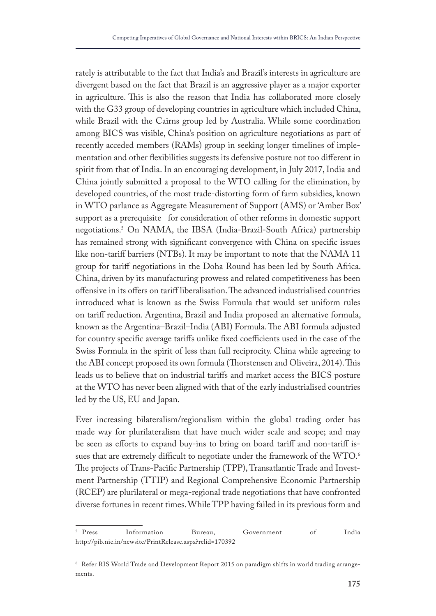rately is attributable to the fact that India's and Brazil's interests in agriculture are divergent based on the fact that Brazil is an aggressive player as a major exporter in agriculture. This is also the reason that India has collaborated more closely with the G33 group of developing countries in agriculture which included China, while Brazil with the Cairns group led by Australia. While some coordination among BICS was visible, China's position on agriculture negotiations as part of recently acceded members (RAMs) group in seeking longer timelines of implementation and other fexibilities suggests its defensive posture not too diferent in spirit from that of India. In an encouraging development, in July 2017, India and China jointly submitted a proposal to the WTO calling for the elimination, by developed countries, of the most trade-distorting form of farm subsidies, known in WTO parlance as Aggregate Measurement of Support (AMS) or 'Amber Box' support as a prerequisite for consideration of other reforms in domestic support negotiations.5 On NAMA, the IBSA (India-Brazil-South Africa) partnership has remained strong with signifcant convergence with China on specifc issues like non-tariff barriers (NTBs). It may be important to note that the NAMA 11 group for tarif negotiations in the Doha Round has been led by South Africa. China, driven by its manufacturing prowess and related competitiveness has been offensive in its offers on tariff liberalisation. The advanced industrialised countries introduced what is known as the Swiss Formula that would set uniform rules on tarif reduction. Argentina, Brazil and India proposed an alternative formula, known as the Argentina–Brazil–India (ABI) Formula. The ABI formula adjusted for country specific average tariffs unlike fixed coefficients used in the case of the Swiss Formula in the spirit of less than full reciprocity. China while agreeing to the ABI concept proposed its own formula (Thorstensen and Oliveira, 2014). This leads us to believe that on industrial tarifs and market access the BICS posture at the WTO has never been aligned with that of the early industrialised countries led by the US, EU and Japan.

Ever increasing bilateralism/regionalism within the global trading order has made way for plurilateralism that have much wider scale and scope; and may be seen as eforts to expand buy-ins to bring on board tarif and non-tarif issues that are extremely difficult to negotiate under the framework of the WTO.<sup>6</sup> The projects of Trans-Pacific Partnership (TPP), Transatlantic Trade and Investment Partnership (TTIP) and Regional Comprehensive Economic Partnership (RCEP) are plurilateral or mega-regional trade negotiations that have confronted diverse fortunes in recent times. While TPP having failed in its previous form and

<sup>&</sup>lt;sup>5</sup> Press Information Bureau, Government of India http://pib.nic.in/newsite/PrintRelease.aspx?relid=170392

<sup>6</sup> Refer RIS World Trade and Development Report 2015 on paradigm shifts in world trading arrangements.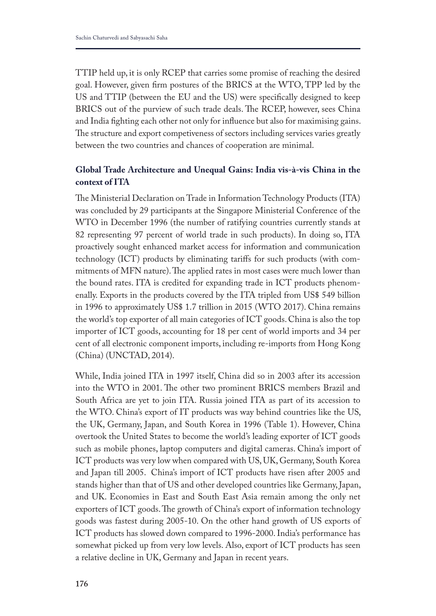TTIP held up, it is only RCEP that carries some promise of reaching the desired goal. However, given frm postures of the BRICS at the WTO, TPP led by the US and TTIP (between the EU and the US) were specifcally designed to keep BRICS out of the purview of such trade deals. The RCEP, however, sees China and India fghting each other not only for infuence but also for maximising gains. The structure and export competiveness of sectors including services varies greatly between the two countries and chances of cooperation are minimal.

# **Global Trade Architecture and Unequal Gains: India vis-à-vis China in the context of ITA**

The Ministerial Declaration on Trade in Information Technology Products (ITA) was concluded by 29 participants at the Singapore Ministerial Conference of the WTO in December 1996 (the number of ratifying countries currently stands at 82 representing 97 percent of world trade in such products). In doing so, ITA proactively sought enhanced market access for information and communication technology (ICT) products by eliminating tarifs for such products (with commitments of MFN nature). The applied rates in most cases were much lower than the bound rates. ITA is credited for expanding trade in ICT products phenomenally. Exports in the products covered by the ITA tripled from US\$ 549 billion in 1996 to approximately US\$ 1.7 trillion in 2015 (WTO 2017). China remains the world's top exporter of all main categories of ICT goods. China is also the top importer of ICT goods, accounting for 18 per cent of world imports and 34 per cent of all electronic component imports, including re-imports from Hong Kong (China) (UNCTAD, 2014).

While, India joined ITA in 1997 itself, China did so in 2003 after its accession into the WTO in 2001. The other two prominent BRICS members Brazil and South Africa are yet to join ITA. Russia joined ITA as part of its accession to the WTO. China's export of IT products was way behind countries like the US, the UK, Germany, Japan, and South Korea in 1996 (Table 1). However, China overtook the United States to become the world's leading exporter of ICT goods such as mobile phones, laptop computers and digital cameras. China's import of ICT products was very low when compared with US, UK, Germany, South Korea and Japan till 2005. China's import of ICT products have risen after 2005 and stands higher than that of US and other developed countries like Germany, Japan, and UK. Economies in East and South East Asia remain among the only net exporters of ICT goods. The growth of China's export of information technology goods was fastest during 2005-10. On the other hand growth of US exports of ICT products has slowed down compared to 1996-2000. India's performance has somewhat picked up from very low levels. Also, export of ICT products has seen a relative decline in UK, Germany and Japan in recent years.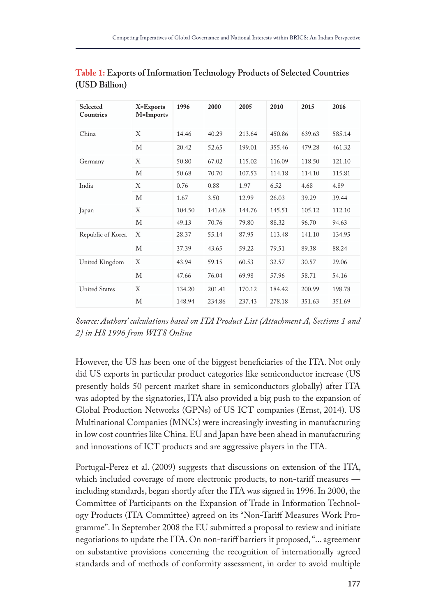| Selected<br><b>Countries</b> | X=Exports<br>M=Imports | 1996   | 2000   | 2005   | 2010   | 2015   | 2016   |
|------------------------------|------------------------|--------|--------|--------|--------|--------|--------|
| China                        | X                      | 14.46  | 40.29  | 213.64 | 450.86 | 639.63 | 585.14 |
|                              | М                      | 20.42  | 52.65  | 199.01 | 355.46 | 479.28 | 461.32 |
| Germany                      | Χ                      | 50.80  | 67.02  | 115.02 | 116.09 | 118.50 | 121.10 |
|                              | М                      | 50.68  | 70.70  | 107.53 | 114.18 | 114.10 | 115.81 |
| India                        | Χ                      | 0.76   | 0.88   | 1.97   | 6.52   | 4.68   | 4.89   |
|                              | М                      | 1.67   | 3.50   | 12.99  | 26.03  | 39.29  | 39.44  |
| Japan                        | X                      | 104.50 | 141.68 | 144.76 | 145.51 | 105.12 | 112.10 |
|                              | М                      | 49.13  | 70.76  | 79.80  | 88.32  | 96.70  | 94.63  |
| Republic of Korea            | X                      | 28.37  | 55.14  | 87.95  | 113.48 | 141.10 | 134.95 |
|                              | М                      | 37.39  | 43.65  | 59.22  | 79.51  | 89.38  | 88.24  |
| United Kingdom               | X                      | 43.94  | 59.15  | 60.53  | 32.57  | 30.57  | 29.06  |
|                              | М                      | 47.66  | 76.04  | 69.98  | 57.96  | 58.71  | 54.16  |
| <b>United States</b>         | Χ                      | 134.20 | 201.41 | 170.12 | 184.42 | 200.99 | 198.78 |
|                              | М                      | 148.94 | 234.86 | 237.43 | 278.18 | 351.63 | 351.69 |

# **Table 1: Exports of Information Technology Products of Selected Countries (USD Billion)**

*Source: Authors' calculations based on ITA Product List (Attachment A, Sections 1 and 2) in HS 1996 from WITS Online*

However, the US has been one of the biggest benefciaries of the ITA. Not only did US exports in particular product categories like semiconductor increase (US presently holds 50 percent market share in semiconductors globally) after ITA was adopted by the signatories, ITA also provided a big push to the expansion of Global Production Networks (GPNs) of US ICT companies (Ernst, 2014). US Multinational Companies (MNCs) were increasingly investing in manufacturing in low cost countries like China. EU and Japan have been ahead in manufacturing and innovations of ICT products and are aggressive players in the ITA.

Portugal-Perez et al. (2009) suggests that discussions on extension of the ITA, which included coverage of more electronic products, to non-tariff measures including standards, began shortly after the ITA was signed in 1996. In 2000, the Committee of Participants on the Expansion of Trade in Information Technology Products (ITA Committee) agreed on its "Non-Tarif Measures Work Programme". In September 2008 the EU submitted a proposal to review and initiate negotiations to update the ITA. On non-tarif barriers it proposed, "... agreement on substantive provisions concerning the recognition of internationally agreed standards and of methods of conformity assessment, in order to avoid multiple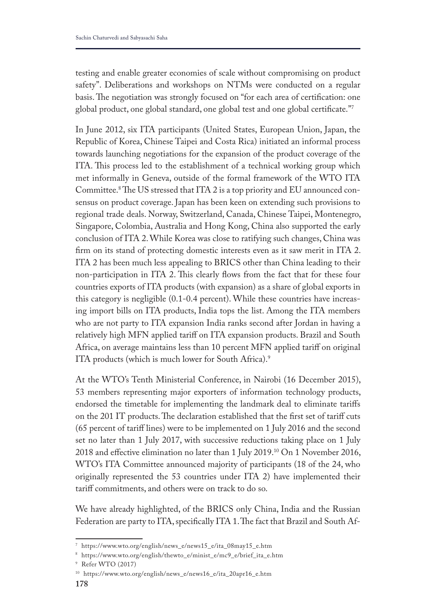testing and enable greater economies of scale without compromising on product safety". Deliberations and workshops on NTMs were conducted on a regular basis. The negotiation was strongly focused on "for each area of certification: one global product, one global standard, one global test and one global certifcate."7

In June 2012, six ITA participants (United States, European Union, Japan, the Republic of Korea, Chinese Taipei and Costa Rica) initiated an informal process towards launching negotiations for the expansion of the product coverage of the ITA. This process led to the establishment of a technical working group which met informally in Geneva, outside of the formal framework of the WTO ITA Committee.<sup>8</sup> The US stressed that ITA 2 is a top priority and EU announced consensus on product coverage. Japan has been keen on extending such provisions to regional trade deals. Norway, Switzerland, Canada, Chinese Taipei, Montenegro, Singapore, Colombia, Australia and Hong Kong, China also supported the early conclusion of ITA 2. While Korea was close to ratifying such changes, China was frm on its stand of protecting domestic interests even as it saw merit in ITA 2. ITA 2 has been much less appealing to BRICS other than China leading to their non-participation in ITA 2. This clearly flows from the fact that for these four countries exports of ITA products (with expansion) as a share of global exports in this category is negligible (0.1-0.4 percent). While these countries have increasing import bills on ITA products, India tops the list. Among the ITA members who are not party to ITA expansion India ranks second after Jordan in having a relatively high MFN applied tarif on ITA expansion products. Brazil and South Africa, on average maintains less than 10 percent MFN applied tarif on original ITA products (which is much lower for South Africa).<sup>9</sup>

At the WTO's Tenth Ministerial Conference, in Nairobi (16 December 2015), 53 members representing major exporters of information technology products, endorsed the timetable for implementing the landmark deal to eliminate tarifs on the 201 IT products. The declaration established that the first set of tariff cuts (65 percent of tarif lines) were to be implemented on 1 July 2016 and the second set no later than 1 July 2017, with successive reductions taking place on 1 July 2018 and efective elimination no later than 1 July 2019.10 On 1 November 2016, WTO's ITA Committee announced majority of participants (18 of the 24, who originally represented the 53 countries under ITA 2) have implemented their tarif commitments, and others were on track to do so.

We have already highlighted, of the BRICS only China, India and the Russian Federation are party to ITA, specifically ITA 1. The fact that Brazil and South Af-

<sup>7</sup> https://www.wto.org/english/news\_e/news15\_e/ita\_08may15\_e.htm

<sup>8</sup> https://www.wto.org/english/thewto\_e/minist\_e/mc9\_e/brief\_ita\_e.htm

<sup>9</sup> Refer WTO (2017)

<sup>10</sup> https://www.wto.org/english/news\_e/news16\_e/ita\_20apr16\_e.htm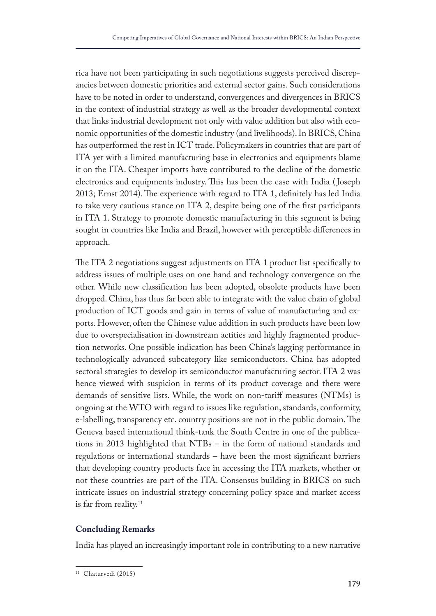rica have not been participating in such negotiations suggests perceived discrepancies between domestic priorities and external sector gains. Such considerations have to be noted in order to understand, convergences and divergences in BRICS in the context of industrial strategy as well as the broader developmental context that links industrial development not only with value addition but also with economic opportunities of the domestic industry (and livelihoods). In BRICS, China has outperformed the rest in ICT trade. Policymakers in countries that are part of ITA yet with a limited manufacturing base in electronics and equipments blame it on the ITA. Cheaper imports have contributed to the decline of the domestic electronics and equipments industry. This has been the case with India (Joseph 2013; Ernst 2014). The experience with regard to ITA 1, definitely has led India to take very cautious stance on ITA 2, despite being one of the frst participants in ITA 1. Strategy to promote domestic manufacturing in this segment is being sought in countries like India and Brazil, however with perceptible diferences in approach.

The ITA 2 negotiations suggest adjustments on ITA 1 product list specifically to address issues of multiple uses on one hand and technology convergence on the other. While new classifcation has been adopted, obsolete products have been dropped. China, has thus far been able to integrate with the value chain of global production of ICT goods and gain in terms of value of manufacturing and exports. However, often the Chinese value addition in such products have been low due to overspecialisation in downstream actities and highly fragmented production networks. One possible indication has been China's lagging performance in technologically advanced subcategory like semiconductors. China has adopted sectoral strategies to develop its semiconductor manufacturing sector. ITA 2 was hence viewed with suspicion in terms of its product coverage and there were demands of sensitive lists. While, the work on non-tarif measures (NTMs) is ongoing at the WTO with regard to issues like regulation, standards, conformity, e-labelling, transparency etc. country positions are not in the public domain. The Geneva based international think-tank the South Centre in one of the publications in 2013 highlighted that NTBs – in the form of national standards and regulations or international standards – have been the most signifcant barriers that developing country products face in accessing the ITA markets, whether or not these countries are part of the ITA. Consensus building in BRICS on such intricate issues on industrial strategy concerning policy space and market access is far from reality.<sup>11</sup>

## **Concluding Remarks**

India has played an increasingly important role in contributing to a new narrative

<sup>&</sup>lt;sup>11</sup> Chaturvedi (2015)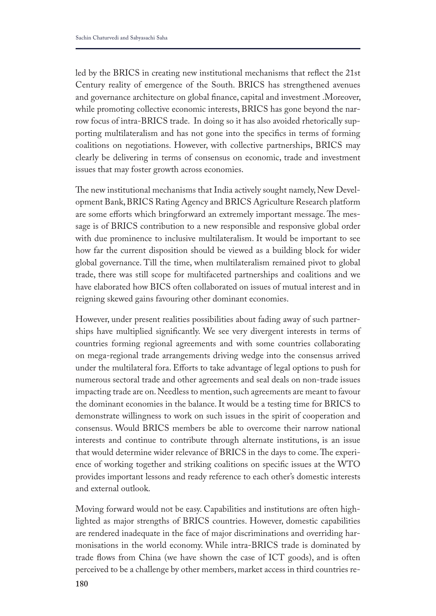led by the BRICS in creating new institutional mechanisms that refect the 21st Century reality of emergence of the South. BRICS has strengthened avenues and governance architecture on global fnance, capital and investment .Moreover, while promoting collective economic interests, BRICS has gone beyond the narrow focus of intra-BRICS trade. In doing so it has also avoided rhetorically supporting multilateralism and has not gone into the specifcs in terms of forming coalitions on negotiations. However, with collective partnerships, BRICS may clearly be delivering in terms of consensus on economic, trade and investment issues that may foster growth across economies.

The new institutional mechanisms that India actively sought namely, New Development Bank, BRICS Rating Agency and BRICS Agriculture Research platform are some efforts which bringforward an extremely important message. The message is of BRICS contribution to a new responsible and responsive global order with due prominence to inclusive multilateralism. It would be important to see how far the current disposition should be viewed as a building block for wider global governance. Till the time, when multilateralism remained pivot to global trade, there was still scope for multifaceted partnerships and coalitions and we have elaborated how BICS often collaborated on issues of mutual interest and in reigning skewed gains favouring other dominant economies.

However, under present realities possibilities about fading away of such partnerships have multiplied signifcantly. We see very divergent interests in terms of countries forming regional agreements and with some countries collaborating on mega-regional trade arrangements driving wedge into the consensus arrived under the multilateral fora. Efforts to take advantage of legal options to push for numerous sectoral trade and other agreements and seal deals on non-trade issues impacting trade are on. Needless to mention, such agreements are meant to favour the dominant economies in the balance. It would be a testing time for BRICS to demonstrate willingness to work on such issues in the spirit of cooperation and consensus. Would BRICS members be able to overcome their narrow national interests and continue to contribute through alternate institutions, is an issue that would determine wider relevance of BRICS in the days to come. The experience of working together and striking coalitions on specifc issues at the WTO provides important lessons and ready reference to each other's domestic interests and external outlook.

Moving forward would not be easy. Capabilities and institutions are often highlighted as major strengths of BRICS countries. However, domestic capabilities are rendered inadequate in the face of major discriminations and overriding harmonisations in the world economy. While intra-BRICS trade is dominated by trade fows from China (we have shown the case of ICT goods), and is often perceived to be a challenge by other members, market access in third countries re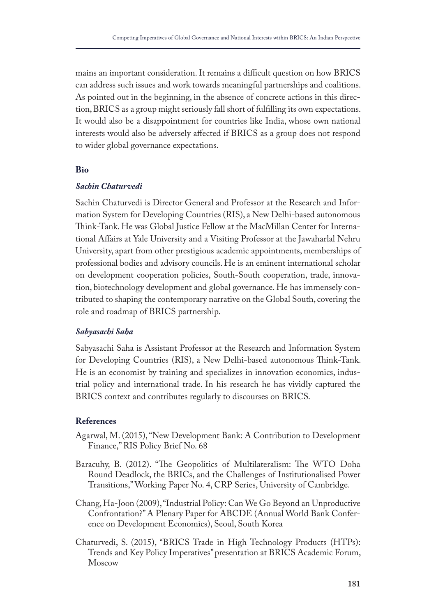mains an important consideration. It remains a difficult question on how BRICS can address such issues and work towards meaningful partnerships and coalitions. As pointed out in the beginning, in the absence of concrete actions in this direction, BRICS as a group might seriously fall short of fulflling its own expectations. It would also be a disappointment for countries like India, whose own national interests would also be adversely afected if BRICS as a group does not respond to wider global governance expectations.

#### **Bio**

#### *Sachin Chaturvedi*

Sachin Chaturvedi is Director General and Professor at the Research and Information System for Developing Countries (RIS), a New Delhi-based autonomous Think-Tank. He was Global Justice Fellow at the MacMillan Center for International Afairs at Yale University and a Visiting Professor at the Jawaharlal Nehru University, apart from other prestigious academic appointments, memberships of professional bodies and advisory councils. He is an eminent international scholar on development cooperation policies, South-South cooperation, trade, innovation, biotechnology development and global governance. He has immensely contributed to shaping the contemporary narrative on the Global South, covering the role and roadmap of BRICS partnership.

## *Sabyasachi Saha*

Sabyasachi Saha is Assistant Professor at the Research and Information System for Developing Countries (RIS), a New Delhi-based autonomous Think-Tank. He is an economist by training and specializes in innovation economics, industrial policy and international trade. In his research he has vividly captured the BRICS context and contributes regularly to discourses on BRICS.

## **References**

- Agarwal, M. (2015), "New Development Bank: A Contribution to Development Finance," RIS Policy Brief No. 68
- Baracuhy, B. (2012). "The Geopolitics of Multilateralism: The WTO Doha Round Deadlock, the BRICs, and the Challenges of Institutionalised Power Transitions," Working Paper No. 4, CRP Series, University of Cambridge.
- Chang, Ha-Joon (2009), "Industrial Policy: Can We Go Beyond an Unproductive Confrontation?" A Plenary Paper for ABCDE (Annual World Bank Conference on Development Economics), Seoul, South Korea
- Chaturvedi, S. (2015), "BRICS Trade in High Technology Products (HTPs): Trends and Key Policy Imperatives" presentation at BRICS Academic Forum, Moscow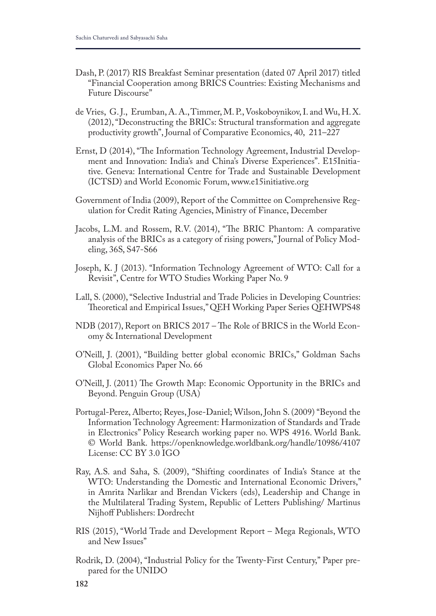- Dash, P. (2017) RIS Breakfast Seminar presentation (dated 07 April 2017) titled "Financial Cooperation among BRICS Countries: Existing Mechanisms and Future Discourse"
- de Vries, G. J., Erumban, A. A., Timmer, M. P., Voskoboynikov, I. and Wu, H. X. (2012), "Deconstructing the BRICs: Structural transformation and aggregate productivity growth", Journal of Comparative Economics, 40, 211–227
- Ernst, D (2014), "The Information Technology Agreement, Industrial Development and Innovation: India's and China's Diverse Experiences". E15Initiative. Geneva: International Centre for Trade and Sustainable Development (ICTSD) and World Economic Forum, www.e15initiative.org
- Government of India (2009), Report of the Committee on Comprehensive Regulation for Credit Rating Agencies, Ministry of Finance, December
- Jacobs, L.M. and Rossem, R.V. (2014), "The BRIC Phantom: A comparative analysis of the BRICs as a category of rising powers," Journal of Policy Modeling, 36S, S47-S66
- Joseph, K. J (2013). "Information Technology Agreement of WTO: Call for a Revisit", Centre for WTO Studies Working Paper No. 9
- Lall, S. (2000), "Selective Industrial and Trade Policies in Developing Countries: Theoretical and Empirical Issues," QEH Working Paper Series QEHWPS48
- NDB (2017), Report on BRICS 2017 The Role of BRICS in the World Economy & International Development
- O'Neill, J. (2001), "Building better global economic BRICs," Goldman Sachs Global Economics Paper No. 66
- O'Neill, J. (2011) The Growth Map: Economic Opportunity in the BRICs and Beyond. Penguin Group (USA)
- Portugal-Perez, Alberto; Reyes, Jose-Daniel; Wilson, John S. (2009) "Beyond the Information Technology Agreement: Harmonization of Standards and Trade in Electronics" Policy Research working paper no. WPS 4916. World Bank. © World Bank. https://openknowledge.worldbank.org/handle/10986/4107 License: CC BY 3.0 IGO
- Ray, A.S. and Saha, S. (2009), "Shifting coordinates of India's Stance at the WTO: Understanding the Domestic and International Economic Drivers," in Amrita Narlikar and Brendan Vickers (eds), Leadership and Change in the Multilateral Trading System, Republic of Letters Publishing/ Martinus Nijhoff Publishers: Dordrecht
- RIS (2015), "World Trade and Development Report Mega Regionals, WTO and New Issues"
- Rodrik, D. (2004), "Industrial Policy for the Twenty-First Century," Paper prepared for the UNIDO